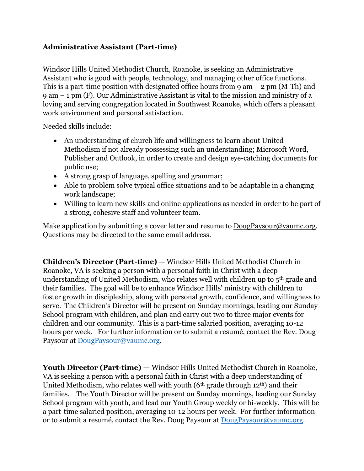## **Administrative Assistant (Part-time)**

Windsor Hills United Methodist Church, Roanoke, is seeking an Administrative Assistant who is good with people, technology, and managing other office functions. This is a part-time position with designated office hours from  $9 \text{ am} - 2 \text{ pm } (M-Th)$  and 9 am – 1 pm (F). Our Administrative Assistant is vital to the mission and ministry of a loving and serving congregation located in Southwest Roanoke, which offers a pleasant work environment and personal satisfaction.

Needed skills include:

- An understanding of church life and willingness to learn about United Methodism if not already possessing such an understanding; Microsoft Word, Publisher and Outlook, in order to create and design eye-catching documents for public use;
- A strong grasp of language, spelling and grammar;
- Able to problem solve typical office situations and to be adaptable in a changing work landscape;
- Willing to learn new skills and online applications as needed in order to be part of a strong, cohesive staff and volunteer team.

Make application by submitting a cover letter and resume to [DougPaysour@vaumc.org.](mailto:DougPaysour@vaumc.org) Questions may be directed to the same email address.

**Children's Director (Part-time)** — Windsor Hills United Methodist Church in Roanoke, VA is seeking a person with a personal faith in Christ with a deep understanding of United Methodism, who relates well with children up to 5th grade and their families. The goal will be to enhance Windsor Hills' ministry with children to foster growth in discipleship, along with personal growth, confidence, and willingness to serve. The Children's Director will be present on Sunday mornings, leading our Sunday School program with children, and plan and carry out two to three major events for children and our community. This is a part-time salaried position, averaging 10-12 hours per week. For further information or to submit a resumé, contact the Rev. Doug Paysour at [DougPaysour@vaumc.org.](mailto:DougPaysour@vaumc.org)

Youth Director (Part-time) — Windsor Hills United Methodist Church in Roanoke, VA is seeking a person with a personal faith in Christ with a deep understanding of United Methodism, who relates well with youth ( $6<sup>th</sup>$  grade through 12<sup>th</sup>) and their families. The Youth Director will be present on Sunday mornings, leading our Sunday School program with youth, and lead our Youth Group weekly or bi-weekly. This will be a part-time salaried position, averaging 10-12 hours per week. For further information or to submit a resumé, contact the Rev. Doug Paysour at [DougPaysour@vaumc.org.](mailto:DougPaysour@vaumc.org)